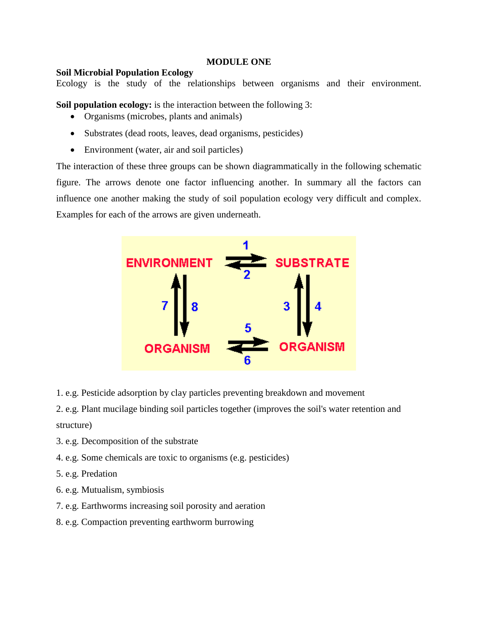## **MODULE ONE**

## **Soil Microbial Population Ecology**

Ecology is the study of the relationships between organisms and their environment.

**Soil population ecology:** is the interaction between the following 3:

- Organisms (microbes, plants and animals)
- Substrates (dead roots, leaves, dead organisms, pesticides)
- Environment (water, air and soil particles)

The interaction of these three groups can be shown diagrammatically in the following schematic figure. The arrows denote one factor influencing another. In summary all the factors can influence one another making the study of soil population ecology very difficult and complex. Examples for each of the arrows are given underneath.



1. e.g. Pesticide adsorption by clay particles preventing breakdown and movement

2. e.g. Plant mucilage binding soil particles together (improves the soil's water retention and structure)

- 3. e.g. Decomposition of the substrate
- 4. e.g. Some chemicals are toxic to organisms (e.g. pesticides)
- 5. e.g. Predation
- 6. e.g. Mutualism, symbiosis
- 7. e.g. Earthworms increasing soil porosity and aeration
- 8. e.g. Compaction preventing earthworm burrowing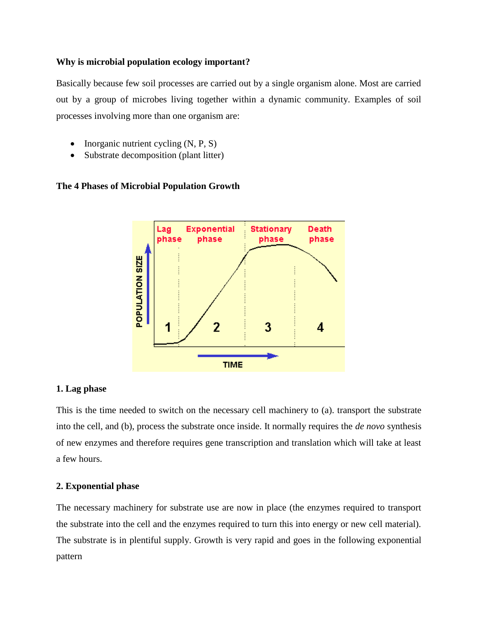# **Why is microbial population ecology important?**

Basically because few soil processes are carried out by a single organism alone. Most are carried out by a group of microbes living together within a dynamic community. Examples of soil processes involving more than one organism are:

- Inorganic nutrient cycling (N, P, S)
- Substrate decomposition (plant litter)

# **The 4 Phases of Microbial Population Growth**



# **1. Lag phase**

This is the time needed to switch on the necessary cell machinery to (a). transport the substrate into the cell, and (b), process the substrate once inside. It normally requires the *de novo* synthesis of new enzymes and therefore requires gene transcription and translation which will take at least a few hours.

# **2. Exponential phase**

The necessary machinery for substrate use are now in place (the enzymes required to transport the substrate into the cell and the enzymes required to turn this into energy or new cell material). The substrate is in plentiful supply. Growth is very rapid and goes in the following exponential pattern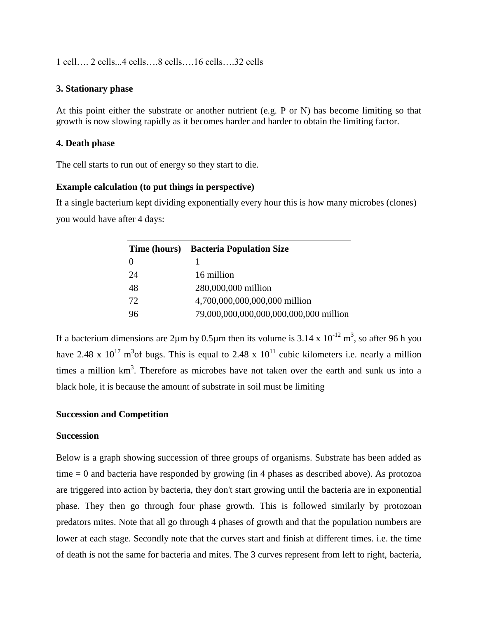1 cell…. 2 cells...4 cells….8 cells….16 cells….32 cells

## **3. Stationary phase**

At this point either the substrate or another nutrient (e.g. P or N) has become limiting so that growth is now slowing rapidly as it becomes harder and harder to obtain the limiting factor.

## **4. Death phase**

The cell starts to run out of energy so they start to die.

# **Example calculation (to put things in perspective)**

If a single bacterium kept dividing exponentially every hour this is how many microbes (clones) you would have after 4 days:

|    | Time (hours) Bacteria Population Size  |
|----|----------------------------------------|
|    |                                        |
| 24 | 16 million                             |
| 48 | 280,000,000 million                    |
| 72 | 4,700,000,000,000,000 million          |
| 96 | 79,000,000,000,000,000,000,000 million |

If a bacterium dimensions are 2 $\mu$ m by 0.5 $\mu$ m then its volume is 3.14 x 10<sup>-12</sup> m<sup>3</sup>, so after 96 h you have 2.48 x  $10^{17}$  m<sup>3</sup> of bugs. This is equal to 2.48 x  $10^{11}$  cubic kilometers i.e. nearly a million times a million  $km<sup>3</sup>$ . Therefore as microbes have not taken over the earth and sunk us into a black hole, it is because the amount of substrate in soil must be limiting

# **Succession and Competition**

## **Succession**

Below is a graph showing succession of three groups of organisms. Substrate has been added as time  $= 0$  and bacteria have responded by growing (in 4 phases as described above). As protozoa are triggered into action by bacteria, they don't start growing until the bacteria are in exponential phase. They then go through four phase growth. This is followed similarly by protozoan predators mites. Note that all go through 4 phases of growth and that the population numbers are lower at each stage. Secondly note that the curves start and finish at different times. i.e. the time of death is not the same for bacteria and mites. The 3 curves represent from left to right, bacteria,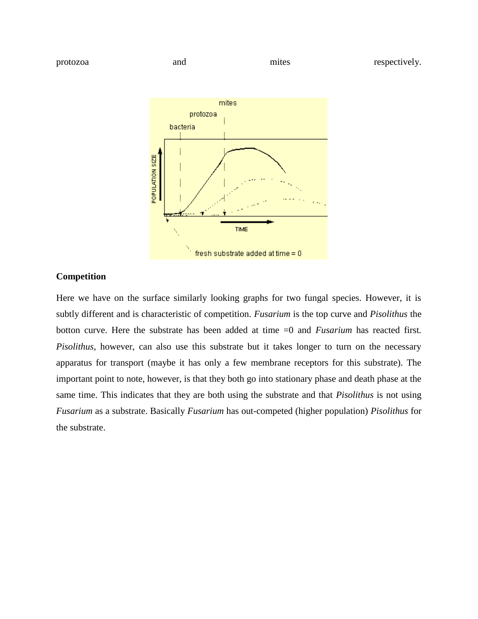

# **Competition**

Here we have on the surface similarly looking graphs for two fungal species. However, it is subtly different and is characteristic of competition. *Fusarium* is the top curve and *Pisolithus* the botton curve. Here the substrate has been added at time =0 and *Fusarium* has reacted first*. Pisolithus*, however, can also use this substrate but it takes longer to turn on the necessary apparatus for transport (maybe it has only a few membrane receptors for this substrate). The important point to note, however, is that they both go into stationary phase and death phase at the same time. This indicates that they are both using the substrate and that *Pisolithus* is not using *Fusarium* as a substrate. Basically *Fusarium* has out-competed (higher population) *Pisolithus* for the substrate.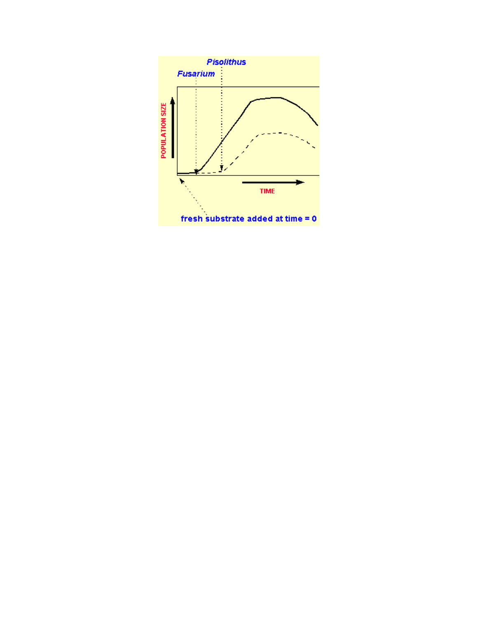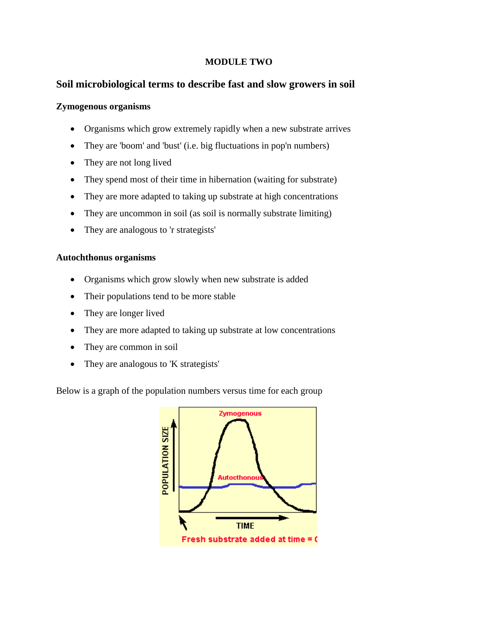# **MODULE TWO**

# **Soil microbiological terms to describe fast and slow growers in soil**

# **Zymogenous organisms**

- Organisms which grow extremely rapidly when a new substrate arrives
- They are 'boom' and 'bust' (i.e. big fluctuations in pop'n numbers)
- They are not long lived
- They spend most of their time in hibernation (waiting for substrate)
- They are more adapted to taking up substrate at high concentrations
- They are uncommon in soil (as soil is normally substrate limiting)
- They are analogous to 'r strategists'

# **Autochthonus organisms**

- Organisms which grow slowly when new substrate is added
- Their populations tend to be more stable
- They are longer lived
- They are more adapted to taking up substrate at low concentrations
- They are common in soil
- They are analogous to 'K strategists'

Below is a graph of the population numbers versus time for each group

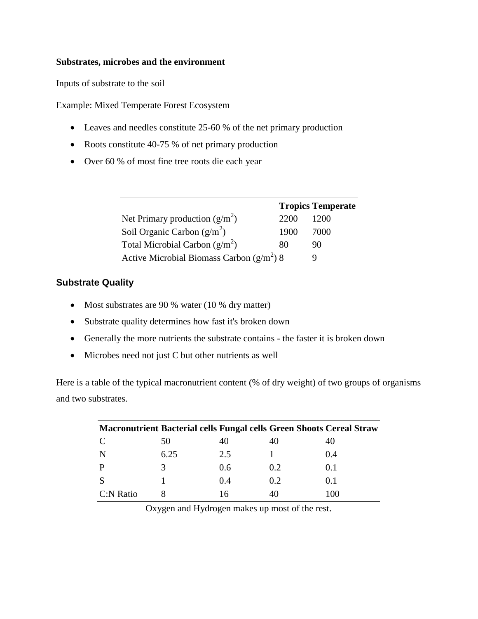# **Substrates, microbes and the environment**

Inputs of substrate to the soil

Example: Mixed Temperate Forest Ecosystem

- Leaves and needles constitute 25-60 % of the net primary production
- Roots constitute 40-75 % of net primary production
- Over 60 % of most fine tree roots die each year

|                                             |      | <b>Tropics Temperate</b> |
|---------------------------------------------|------|--------------------------|
| Net Primary production $(g/m^2)$            | 2200 | 1200                     |
| Soil Organic Carbon $(g/m^2)$               | 1900 | 7000                     |
| Total Microbial Carbon $(g/m^2)$            | 80   | 90                       |
| Active Microbial Biomass Carbon $(g/m^2)$ 8 |      |                          |

# **Substrate Quality**

- Most substrates are 90 % water (10 % dry matter)
- Substrate quality determines how fast it's broken down
- Generally the more nutrients the substrate contains the faster it is broken down
- Microbes need not just C but other nutrients as well

Here is a table of the typical macronutrient content (% of dry weight) of two groups of organisms and two substrates.

| <b>Macronutrient Bacterial cells Fungal cells Green Shoots Cereal Straw</b> |      |     |     |       |
|-----------------------------------------------------------------------------|------|-----|-----|-------|
|                                                                             | 50   |     |     |       |
|                                                                             | 6.25 | 2.5 |     | (0.4) |
|                                                                             |      | 0.6 | 0.2 | 0.1   |
|                                                                             |      | 0.4 | 0.2 | 0.1   |
| C:N Ratio                                                                   |      | Iб  | 40  | 100   |

Oxygen and Hydrogen makes up most of the rest.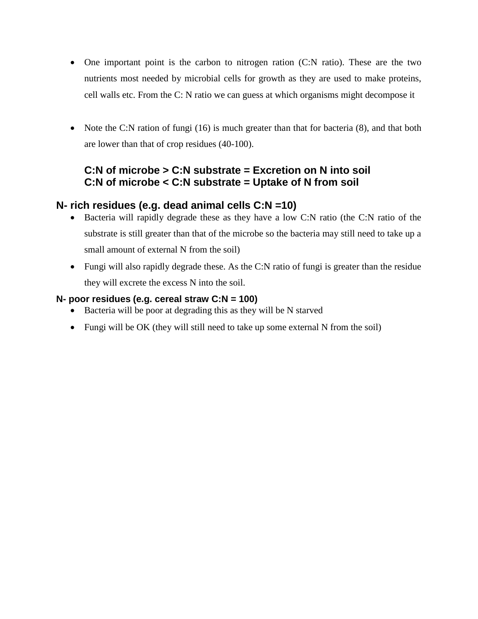- One important point is the carbon to nitrogen ration (C:N ratio). These are the two nutrients most needed by microbial cells for growth as they are used to make proteins, cell walls etc. From the C: N ratio we can guess at which organisms might decompose it
- Note the C:N ration of fungi (16) is much greater than that for bacteria (8), and that both are lower than that of crop residues (40-100).

# **C:N of microbe > C:N substrate = Excretion on N into soil C:N of microbe < C:N substrate = Uptake of N from soil**

# **N- rich residues (e.g. dead animal cells C:N =10)**

- Bacteria will rapidly degrade these as they have a low C:N ratio (the C:N ratio of the substrate is still greater than that of the microbe so the bacteria may still need to take up a small amount of external N from the soil)
- Fungi will also rapidly degrade these. As the C:N ratio of fungi is greater than the residue they will excrete the excess N into the soil.

# **N- poor residues (e.g. cereal straw C:N = 100)**

- Bacteria will be poor at degrading this as they will be N starved
- Fungi will be OK (they will still need to take up some external N from the soil)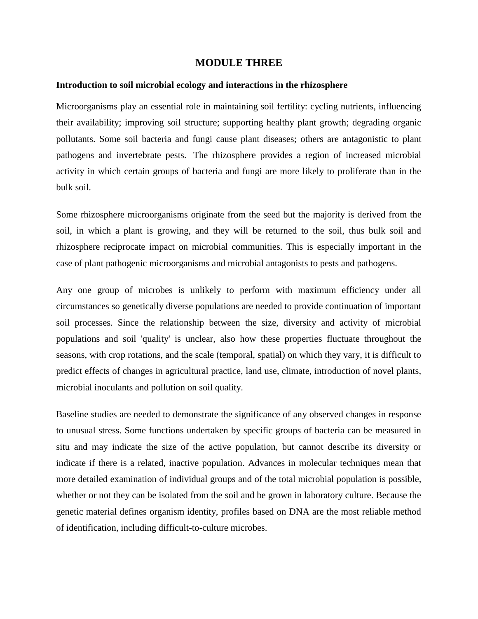## **MODULE THREE**

#### **Introduction to soil microbial ecology and interactions in the rhizosphere**

Microorganisms play an essential role in maintaining soil fertility: cycling nutrients, influencing their availability; improving soil structure; supporting healthy plant growth; degrading organic pollutants. Some soil bacteria and fungi cause plant diseases; others are antagonistic to plant pathogens and invertebrate pests. The rhizosphere provides a region of increased microbial activity in which certain groups of bacteria and fungi are more likely to proliferate than in the bulk soil.

Some rhizosphere microorganisms originate from the seed but the majority is derived from the soil, in which a plant is growing, and they will be returned to the soil, thus bulk soil and rhizosphere reciprocate impact on microbial communities. This is especially important in the case of plant pathogenic microorganisms and microbial antagonists to pests and pathogens.

Any one group of microbes is unlikely to perform with maximum efficiency under all circumstances so genetically diverse populations are needed to provide continuation of important soil processes. Since the relationship between the size, diversity and activity of microbial populations and soil 'quality' is unclear, also how these properties fluctuate throughout the seasons, with crop rotations, and the scale (temporal, spatial) on which they vary, it is difficult to predict effects of changes in agricultural practice, land use, climate, introduction of novel plants, microbial inoculants and pollution on soil quality.

Baseline studies are needed to demonstrate the significance of any observed changes in response to unusual stress. Some functions undertaken by specific groups of bacteria can be measured in situ and may indicate the size of the active population, but cannot describe its diversity or indicate if there is a related, inactive population. Advances in molecular techniques mean that more detailed examination of individual groups and of the total microbial population is possible, whether or not they can be isolated from the soil and be grown in laboratory culture. Because the genetic material defines organism identity, profiles based on DNA are the most reliable method of identification, including difficult-to-culture microbes.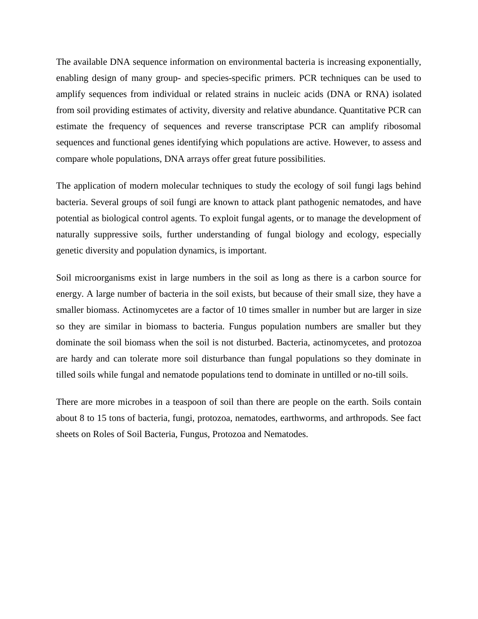The available DNA sequence information on environmental bacteria is increasing exponentially, enabling design of many group- and species-specific primers. PCR techniques can be used to amplify sequences from individual or related strains in nucleic acids (DNA or RNA) isolated from soil providing estimates of activity, diversity and relative abundance. Quantitative PCR can estimate the frequency of sequences and reverse transcriptase PCR can amplify ribosomal sequences and functional genes identifying which populations are active. However, to assess and compare whole populations, DNA arrays offer great future possibilities.

The application of modern molecular techniques to study the ecology of soil fungi lags behind bacteria. Several groups of soil fungi are known to attack plant pathogenic nematodes, and have potential as biological control agents. To exploit fungal agents, or to manage the development of naturally suppressive soils, further understanding of fungal biology and ecology, especially genetic diversity and population dynamics, is important.

Soil microorganisms exist in large numbers in the soil as long as there is a carbon source for energy. A large number of bacteria in the soil exists, but because of their small size, they have a smaller biomass. Actinomycetes are a factor of 10 times smaller in number but are larger in size so they are similar in biomass to bacteria. Fungus population numbers are smaller but they dominate the soil biomass when the soil is not disturbed. Bacteria, actinomycetes, and protozoa are hardy and can tolerate more soil disturbance than fungal populations so they dominate in tilled soils while fungal and nematode populations tend to dominate in untilled or no-till soils.

There are more microbes in a teaspoon of soil than there are people on the earth. Soils contain about 8 to 15 tons of bacteria, fungi, protozoa, nematodes, earthworms, and arthropods. See fact sheets on Roles of Soil Bacteria, Fungus, Protozoa and Nematodes.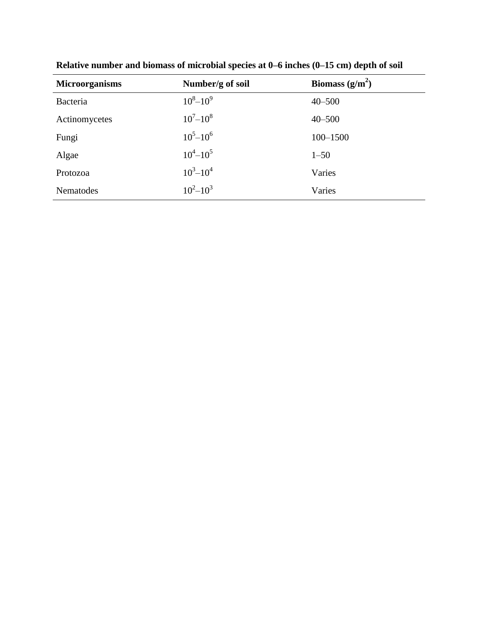| <b>Microorganisms</b> | Number/g of soil  | Biomass $(g/m^2)$ |
|-----------------------|-------------------|-------------------|
| Bacteria              | $10^8 - 10^9$     | $40 - 500$        |
| Actinomycetes         | $10^{7} - 10^{8}$ | $40 - 500$        |
| Fungi                 | $10^5 - 10^6$     | $100 - 1500$      |
| Algae                 | $10^4 - 10^5$     | $1 - 50$          |
| Protozoa              | $10^3 - 10^4$     | Varies            |
| Nematodes             | $10^2 - 10^3$     | Varies            |

**Relative number and biomass of microbial species at 0–6 inches (0–15 cm) depth of soil**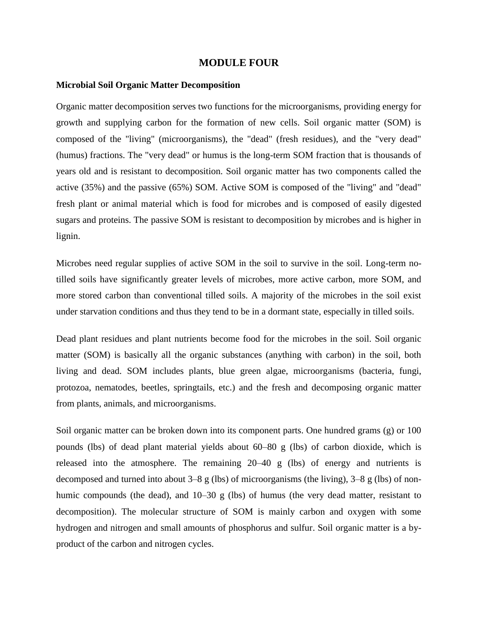## **MODULE FOUR**

#### **Microbial Soil Organic Matter Decomposition**

Organic matter decomposition serves two functions for the microorganisms, providing energy for growth and supplying carbon for the formation of new cells. Soil organic matter (SOM) is composed of the "living" (microorganisms), the "dead" (fresh residues), and the "very dead" (humus) fractions. The "very dead" or humus is the long-term SOM fraction that is thousands of years old and is resistant to decomposition. Soil organic matter has two components called the active (35%) and the passive (65%) SOM. Active SOM is composed of the "living" and "dead" fresh plant or animal material which is food for microbes and is composed of easily digested sugars and proteins. The passive SOM is resistant to decomposition by microbes and is higher in lignin.

Microbes need regular supplies of active SOM in the soil to survive in the soil. Long-term notilled soils have significantly greater levels of microbes, more active carbon, more SOM, and more stored carbon than conventional tilled soils. A majority of the microbes in the soil exist under starvation conditions and thus they tend to be in a dormant state, especially in tilled soils.

Dead plant residues and plant nutrients become food for the microbes in the soil. Soil organic matter (SOM) is basically all the organic substances (anything with carbon) in the soil, both living and dead. SOM includes plants, blue green algae, microorganisms (bacteria, fungi, protozoa, nematodes, beetles, springtails, etc.) and the fresh and decomposing organic matter from plants, animals, and microorganisms.

Soil organic matter can be broken down into its component parts. One hundred grams (g) or 100 pounds (lbs) of dead plant material yields about 60–80 g (lbs) of carbon dioxide, which is released into the atmosphere. The remaining 20–40 g (lbs) of energy and nutrients is decomposed and turned into about  $3-8$  g (lbs) of microorganisms (the living),  $3-8$  g (lbs) of nonhumic compounds (the dead), and 10–30 g (lbs) of humus (the very dead matter, resistant to decomposition). The molecular structure of SOM is mainly carbon and oxygen with some hydrogen and nitrogen and small amounts of phosphorus and sulfur. Soil organic matter is a byproduct of the carbon and nitrogen cycles.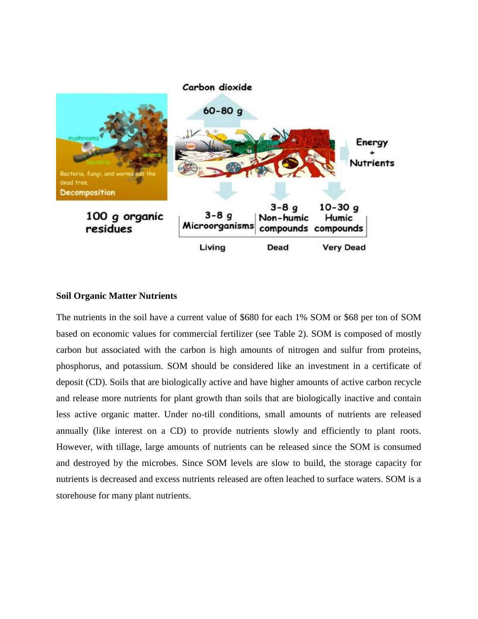

# **Soil Organic Matter Nutrients**

The nutrients in the soil have a current value of \$680 for each 1% SOM or \$68 per ton of SOM based on economic values for commercial fertilizer (see Table 2). SOM is composed of mostly carbon but associated with the carbon is high amounts of nitrogen and sulfur from proteins, phosphorus, and potassium. SOM should be considered like an investment in a certificate of deposit (CD). Soils that are biologically active and have higher amounts of active carbon recycle and release more nutrients for plant growth than soils that are biologically inactive and contain less active organic matter. Under no-till conditions, small amounts of nutrients are released annually (like interest on a CD) to provide nutrients slowly and efficiently to plant roots. However, with tillage, large amounts of nutrients can be released since the SOM is consumed and destroyed by the microbes. Since SOM levels are slow to build, the storage capacity for nutrients is decreased and excess nutrients released are often leached to surface waters. SOM is a storehouse for many plant nutrients.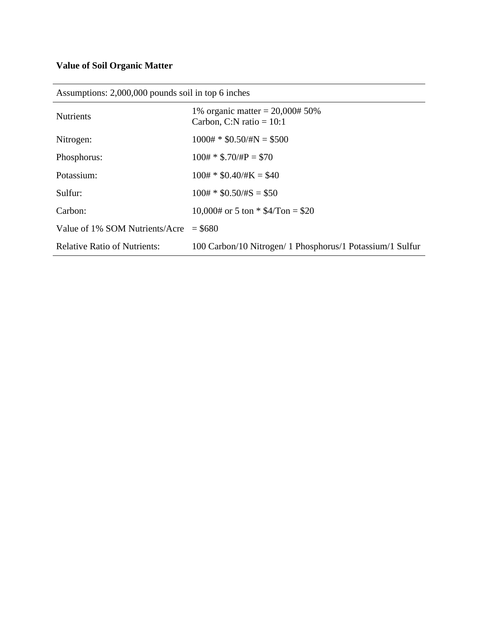# **Value of Soil Organic Matter**

| $\frac{1}{2}$ room prononce $\frac{1}{2}$ , $\frac{1}{2}$ , $\frac{1}{2}$ , $\frac{1}{2}$ , $\frac{1}{2}$ , $\frac{1}{2}$ , $\frac{1}{2}$ , $\frac{1}{2}$ , $\frac{1}{2}$ , $\frac{1}{2}$ , $\frac{1}{2}$ , $\frac{1}{2}$ , $\frac{1}{2}$ , $\frac{1}{2}$ , $\frac{1}{2}$ , $\frac{1}{2}$ , $\frac{1}{2}$ , $\frac{1}{2}$ , |                                                                |  |  |  |
|-----------------------------------------------------------------------------------------------------------------------------------------------------------------------------------------------------------------------------------------------------------------------------------------------------------------------------|----------------------------------------------------------------|--|--|--|
| <b>Nutrients</b>                                                                                                                                                                                                                                                                                                            | 1% organic matter = $20,000#50%$<br>Carbon, C:N ratio = $10:1$ |  |  |  |
| Nitrogen:                                                                                                                                                                                                                                                                                                                   | $1000# * $0.50/\text{HN} = $500$                               |  |  |  |
| Phosphorus:                                                                                                                                                                                                                                                                                                                 | $100# * $.70/HP = $70$                                         |  |  |  |
| Potassium:                                                                                                                                                                                                                                                                                                                  | $100# * $0.40/\#K = $40$                                       |  |  |  |
| Sulfur:                                                                                                                                                                                                                                                                                                                     | $100# * $0.50/\#S = $50$                                       |  |  |  |
| Carbon:                                                                                                                                                                                                                                                                                                                     | $10,000\text{#}$ or 5 ton * \$4/Ton = \$20                     |  |  |  |
| Value of 1% SOM Nutrients/Acre                                                                                                                                                                                                                                                                                              | $=$ \$680                                                      |  |  |  |
| <b>Relative Ratio of Nutrients:</b>                                                                                                                                                                                                                                                                                         | 100 Carbon/10 Nitrogen/ 1 Phosphorus/1 Potassium/1 Sulfur      |  |  |  |
|                                                                                                                                                                                                                                                                                                                             |                                                                |  |  |  |

Assumptions: 2,000,000 pounds soil in top 6 inches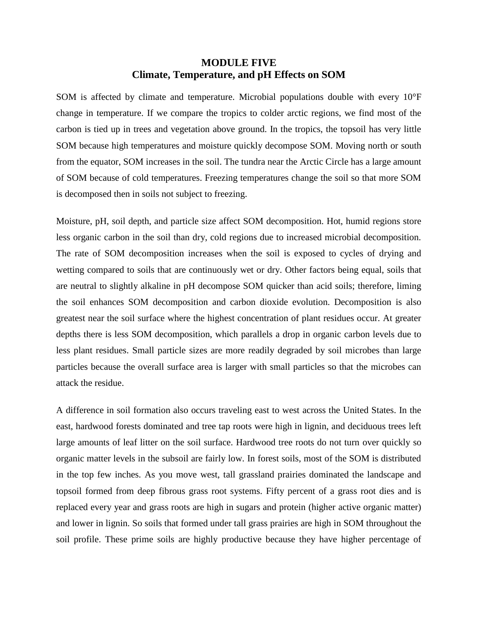# **MODULE FIVE Climate, Temperature, and pH Effects on SOM**

SOM is affected by climate and temperature. Microbial populations double with every 10°F change in temperature. If we compare the tropics to colder arctic regions, we find most of the carbon is tied up in trees and vegetation above ground. In the tropics, the topsoil has very little SOM because high temperatures and moisture quickly decompose SOM. Moving north or south from the equator, SOM increases in the soil. The tundra near the Arctic Circle has a large amount of SOM because of cold temperatures. Freezing temperatures change the soil so that more SOM is decomposed then in soils not subject to freezing.

Moisture, pH, soil depth, and particle size affect SOM decomposition. Hot, humid regions store less organic carbon in the soil than dry, cold regions due to increased microbial decomposition. The rate of SOM decomposition increases when the soil is exposed to cycles of drying and wetting compared to soils that are continuously wet or dry. Other factors being equal, soils that are neutral to slightly alkaline in pH decompose SOM quicker than acid soils; therefore, liming the soil enhances SOM decomposition and carbon dioxide evolution. Decomposition is also greatest near the soil surface where the highest concentration of plant residues occur. At greater depths there is less SOM decomposition, which parallels a drop in organic carbon levels due to less plant residues. Small particle sizes are more readily degraded by soil microbes than large particles because the overall surface area is larger with small particles so that the microbes can attack the residue.

A difference in soil formation also occurs traveling east to west across the United States. In the east, hardwood forests dominated and tree tap roots were high in lignin, and deciduous trees left large amounts of leaf litter on the soil surface. Hardwood tree roots do not turn over quickly so organic matter levels in the subsoil are fairly low. In forest soils, most of the SOM is distributed in the top few inches. As you move west, tall grassland prairies dominated the landscape and topsoil formed from deep fibrous grass root systems. Fifty percent of a grass root dies and is replaced every year and grass roots are high in sugars and protein (higher active organic matter) and lower in lignin. So soils that formed under tall grass prairies are high in SOM throughout the soil profile. These prime soils are highly productive because they have higher percentage of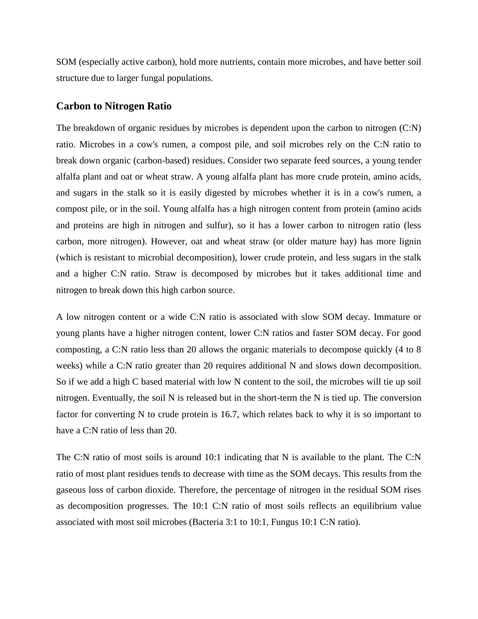SOM (especially active carbon), hold more nutrients, contain more microbes, and have better soil structure due to larger fungal populations.

## **Carbon to Nitrogen Ratio**

The breakdown of organic residues by microbes is dependent upon the carbon to nitrogen (C:N) ratio. Microbes in a cow's rumen, a compost pile, and soil microbes rely on the C:N ratio to break down organic (carbon-based) residues. Consider two separate feed sources, a young tender alfalfa plant and oat or wheat straw. A young alfalfa plant has more crude protein, amino acids, and sugars in the stalk so it is easily digested by microbes whether it is in a cow's rumen, a compost pile, or in the soil. Young alfalfa has a high nitrogen content from protein (amino acids and proteins are high in nitrogen and sulfur), so it has a lower carbon to nitrogen ratio (less carbon, more nitrogen). However, oat and wheat straw (or older mature hay) has more lignin (which is resistant to microbial decomposition), lower crude protein, and less sugars in the stalk and a higher C:N ratio. Straw is decomposed by microbes but it takes additional time and nitrogen to break down this high carbon source.

A low nitrogen content or a wide C:N ratio is associated with slow SOM decay. Immature or young plants have a higher nitrogen content, lower C:N ratios and faster SOM decay. For good composting, a C:N ratio less than 20 allows the organic materials to decompose quickly (4 to 8 weeks) while a C:N ratio greater than 20 requires additional N and slows down decomposition. So if we add a high C based material with low N content to the soil, the microbes will tie up soil nitrogen. Eventually, the soil N is released but in the short-term the N is tied up. The conversion factor for converting N to crude protein is 16.7, which relates back to why it is so important to have a C:N ratio of less than 20.

The C:N ratio of most soils is around 10:1 indicating that N is available to the plant. The C:N ratio of most plant residues tends to decrease with time as the SOM decays. This results from the gaseous loss of carbon dioxide. Therefore, the percentage of nitrogen in the residual SOM rises as decomposition progresses. The 10:1 C:N ratio of most soils reflects an equilibrium value associated with most soil microbes (Bacteria 3:1 to 10:1, Fungus 10:1 C:N ratio).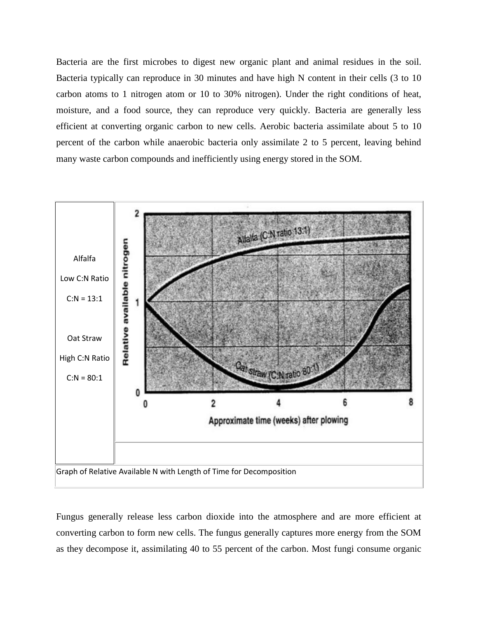Bacteria are the first microbes to digest new organic plant and animal residues in the soil. Bacteria typically can reproduce in 30 minutes and have high N content in their cells (3 to 10 carbon atoms to 1 nitrogen atom or 10 to 30% nitrogen). Under the right conditions of heat, moisture, and a food source, they can reproduce very quickly. Bacteria are generally less efficient at converting organic carbon to new cells. Aerobic bacteria assimilate about 5 to 10 percent of the carbon while anaerobic bacteria only assimilate 2 to 5 percent, leaving behind many waste carbon compounds and inefficiently using energy stored in the SOM.



Fungus generally release less carbon dioxide into the atmosphere and are more efficient at converting carbon to form new cells. The fungus generally captures more energy from the SOM as they decompose it, assimilating 40 to 55 percent of the carbon. Most fungi consume organic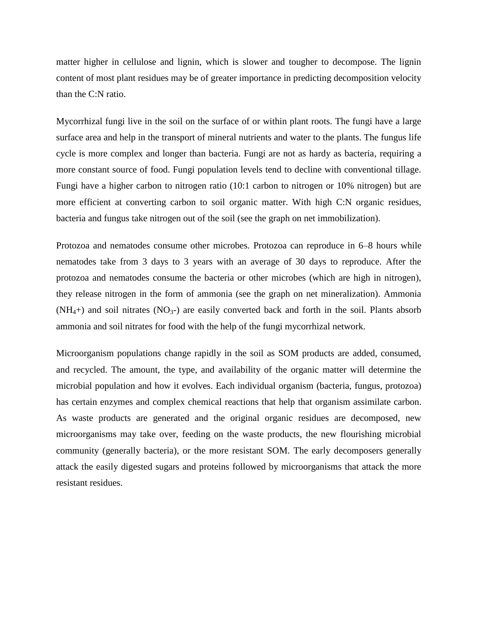matter higher in cellulose and lignin, which is slower and tougher to decompose. The lignin content of most plant residues may be of greater importance in predicting decomposition velocity than the C:N ratio.

Mycorrhizal fungi live in the soil on the surface of or within plant roots. The fungi have a large surface area and help in the transport of mineral nutrients and water to the plants. The fungus life cycle is more complex and longer than bacteria. Fungi are not as hardy as bacteria, requiring a more constant source of food. Fungi population levels tend to decline with conventional tillage. Fungi have a higher carbon to nitrogen ratio (10:1 carbon to nitrogen or 10% nitrogen) but are more efficient at converting carbon to soil organic matter. With high C:N organic residues, bacteria and fungus take nitrogen out of the soil (see the graph on net immobilization).

Protozoa and nematodes consume other microbes. Protozoa can reproduce in 6–8 hours while nematodes take from 3 days to 3 years with an average of 30 days to reproduce. After the protozoa and nematodes consume the bacteria or other microbes (which are high in nitrogen), they release nitrogen in the form of ammonia (see the graph on net mineralization). Ammonia  $(NH<sub>4</sub>+)$  and soil nitrates  $(NO<sub>3</sub>-)$  are easily converted back and forth in the soil. Plants absorb ammonia and soil nitrates for food with the help of the fungi mycorrhizal network.

Microorganism populations change rapidly in the soil as SOM products are added, consumed, and recycled. The amount, the type, and availability of the organic matter will determine the microbial population and how it evolves. Each individual organism (bacteria, fungus, protozoa) has certain enzymes and complex chemical reactions that help that organism assimilate carbon. As waste products are generated and the original organic residues are decomposed, new microorganisms may take over, feeding on the waste products, the new flourishing microbial community (generally bacteria), or the more resistant SOM. The early decomposers generally attack the easily digested sugars and proteins followed by microorganisms that attack the more resistant residues.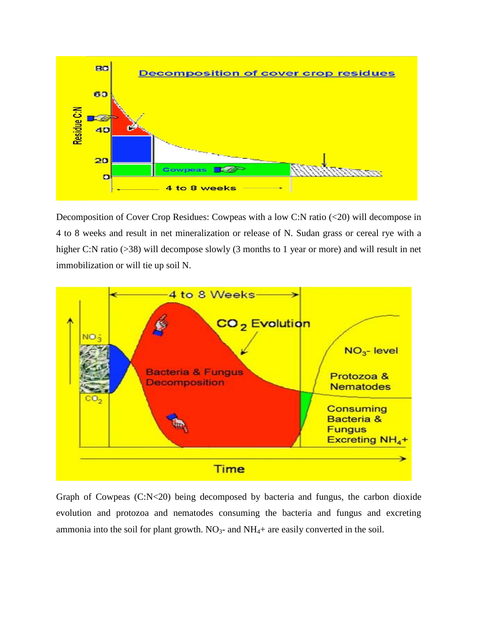

Decomposition of Cover Crop Residues: Cowpeas with a low C:N ratio (<20) will decompose in 4 to 8 weeks and result in net mineralization or release of N. Sudan grass or cereal rye with a higher C:N ratio (>38) will decompose slowly (3 months to 1 year or more) and will result in net immobilization or will tie up soil N.



Graph of Cowpeas (C:N<20) being decomposed by bacteria and fungus, the carbon dioxide evolution and protozoa and nematodes consuming the bacteria and fungus and excreting ammonia into the soil for plant growth.  $NO<sub>3</sub>$ - and  $NH<sub>4</sub>$ + are easily converted in the soil.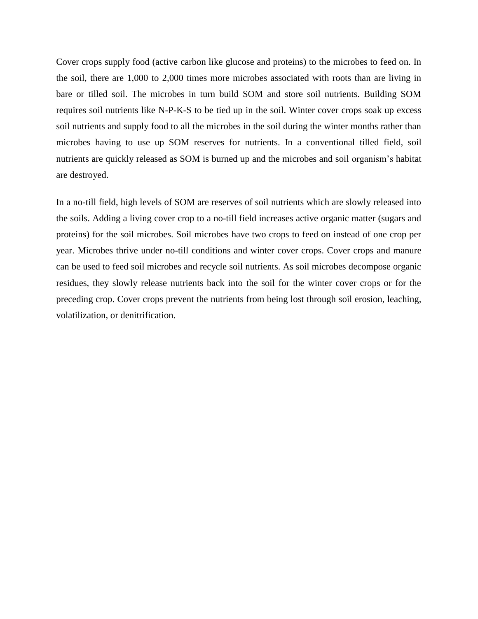Cover crops supply food (active carbon like glucose and proteins) to the microbes to feed on. In the soil, there are 1,000 to 2,000 times more microbes associated with roots than are living in bare or tilled soil. The microbes in turn build SOM and store soil nutrients. Building SOM requires soil nutrients like N-P-K-S to be tied up in the soil. Winter cover crops soak up excess soil nutrients and supply food to all the microbes in the soil during the winter months rather than microbes having to use up SOM reserves for nutrients. In a conventional tilled field, soil nutrients are quickly released as SOM is burned up and the microbes and soil organism's habitat are destroyed.

In a no-till field, high levels of SOM are reserves of soil nutrients which are slowly released into the soils. Adding a living cover crop to a no-till field increases active organic matter (sugars and proteins) for the soil microbes. Soil microbes have two crops to feed on instead of one crop per year. Microbes thrive under no-till conditions and winter cover crops. Cover crops and manure can be used to feed soil microbes and recycle soil nutrients. As soil microbes decompose organic residues, they slowly release nutrients back into the soil for the winter cover crops or for the preceding crop. Cover crops prevent the nutrients from being lost through soil erosion, leaching, volatilization, or denitrification.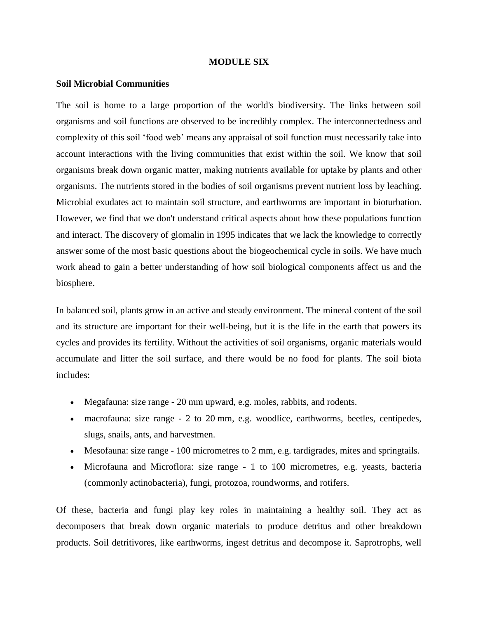### **MODULE SIX**

### **Soil Microbial Communities**

The soil is home to a large proportion of the world's [biodiversity.](https://en.wikipedia.org/wiki/Biodiversity) The links between soil organisms and soil functions are observed to be incredibly complex. The interconnectedness and complexity of this [soil 'food web'](https://en.wikipedia.org/wiki/Soil_food_web) means any appraisal of soil function must necessarily take into account interactions with the living communities that exist within the soil. We know that [soil](https://en.wikipedia.org/wiki/Soil_life)  [organisms](https://en.wikipedia.org/wiki/Soil_life) break down [organic matter,](https://en.wikipedia.org/wiki/Organic_matter) making [nutrients](https://en.wikipedia.org/wiki/Nutrient) available for uptake by plants and other organisms. The nutrients stored in the bodies of soil organisms prevent nutrient loss by [leaching.](https://en.wikipedia.org/wiki/Leaching_%28pedology%29) Microbial exudates act to maintain [soil structure,](https://en.wikipedia.org/wiki/Soil_structure) and [earthworms](https://en.wikipedia.org/wiki/Earthworm) are important in [bioturbation.](https://en.wikipedia.org/wiki/Bioturbation) However, we find that we don't understand critical aspects about how these populations function and interact. The discovery of [glomalin](https://en.wikipedia.org/wiki/Glomalin) in 1995 indicates that we lack the knowledge to correctly answer some of the most basic questions about the [biogeochemical](https://en.wikipedia.org/wiki/Biogeochemical) cycle in soils. We have much work ahead to gain a better understanding of how soil biological components affect us and the [biosphere.](https://en.wikipedia.org/wiki/Biosphere)

In balanced soil, plants grow in an active and steady environment. The [mineral](https://en.wikipedia.org/wiki/Mineral) content of the soil and its structure are important for their well-being, but it is the life in the earth that powers its cycles and provides its fertility. Without the activities of soil organisms, [organic materials](https://en.wikipedia.org/wiki/Organic_material) would accumulate and litter the soil surface, and there would be no food for plants. The soil biota includes:

- Megafauna: size range 20 mm upward, e.g. [moles,](https://en.wikipedia.org/wiki/Mole_%28animal%29) [rabbits,](https://en.wikipedia.org/wiki/Rabbit) and [rodents.](https://en.wikipedia.org/wiki/Rodent)
- macrofauna: size range 2 to 20 mm, e.g. [woodlice,](https://en.wikipedia.org/wiki/Woodlouse) [earthworms,](https://en.wikipedia.org/wiki/Earthworm) [beetles,](https://en.wikipedia.org/wiki/Beetle) [centipedes,](https://en.wikipedia.org/wiki/Centipede) [slugs,](https://en.wikipedia.org/wiki/Slug) [snails,](https://en.wikipedia.org/wiki/Snail) [ants,](https://en.wikipedia.org/wiki/Ant) and [harvestmen.](https://en.wikipedia.org/wiki/Harvestman)
- [Mesofauna:](https://en.wikipedia.org/wiki/Soil_mesofauna) size range 100 [micrometres](https://en.wikipedia.org/wiki/Micrometre) to 2 mm, e.g. [tardigrades,](https://en.wikipedia.org/wiki/Tardigrade) [mites](https://en.wikipedia.org/wiki/Mite) and [springtails.](https://en.wikipedia.org/wiki/Springtail)
- [Microfauna](https://en.wikipedia.org/wiki/Microfauna) and Microflora: size range 1 to 100 micrometres, e.g. [yeasts,](https://en.wikipedia.org/wiki/Yeast) [bacteria](https://en.wikipedia.org/wiki/Bacteria) (commonly [actinobacteria\)](https://en.wikipedia.org/wiki/Actinobacteria), [fungi,](https://en.wikipedia.org/wiki/Fungus) [protozoa,](https://en.wikipedia.org/wiki/Protozoa) [roundworms,](https://en.wikipedia.org/wiki/Roundworm) and [rotifers.](https://en.wikipedia.org/wiki/Rotifer)

Of these, bacteria and fungi play key roles in maintaining a healthy soil. They act as [decomposers](https://en.wikipedia.org/wiki/Decomposers) that break down organic materials to produce [detritus](https://en.wikipedia.org/wiki/Detritus_%28biology%29) and other breakdown products. Soil [detritivores,](https://en.wikipedia.org/wiki/Detritivore) like earthworms, ingest detritus and decompose it. [Saprotrophs,](https://en.wikipedia.org/wiki/Saprotroph) well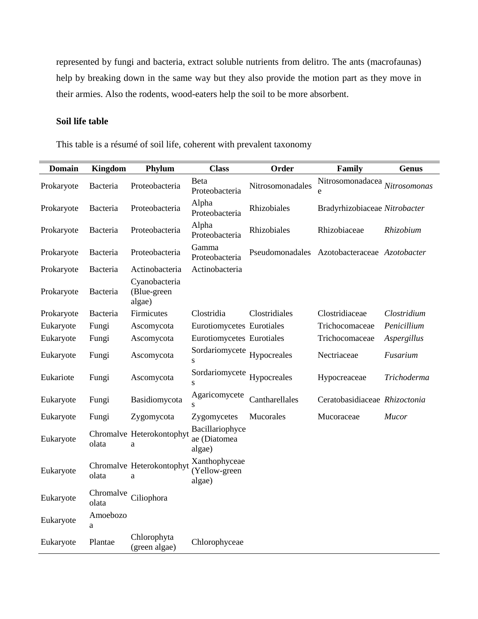represented by fungi and bacteria, extract soluble nutrients from delitro. The ants (macrofaunas) help by breaking down in the same way but they also provide the motion part as they move in their armies. Also the rodents, wood-eaters help the soil to be more absorbent.

# **Soil life table**

This table is a résumé of soil life, coherent with prevalent taxonomy

| <b>Domain</b> | <b>Kingdom</b>     | Phylum                                 | <b>Class</b>                              | Order            | Family                                       | <b>Genus</b> |
|---------------|--------------------|----------------------------------------|-------------------------------------------|------------------|----------------------------------------------|--------------|
| Prokaryote    | Bacteria           | Proteobacteria                         | Beta<br>Proteobacteria                    | Nitrosomonadales | Nitrosomonadacea Nitrosomonas<br>e           |              |
| Prokaryote    | Bacteria           | Proteobacteria                         | Alpha<br>Proteobacteria                   | Rhizobiales      | Bradyrhizobiaceae Nitrobacter                |              |
| Prokaryote    | Bacteria           | Proteobacteria                         | Alpha<br>Proteobacteria                   | Rhizobiales      | Rhizobiaceae                                 | Rhizobium    |
| Prokaryote    | Bacteria           | Proteobacteria                         | Gamma<br>Proteobacteria                   |                  | Pseudomonadales Azotobacteraceae Azotobacter |              |
| Prokaryote    | Bacteria           | Actinobacteria                         | Actinobacteria                            |                  |                                              |              |
| Prokaryote    | Bacteria           | Cyanobacteria<br>(Blue-green<br>algae) |                                           |                  |                                              |              |
| Prokaryote    | Bacteria           | Firmicutes                             | Clostridia                                | Clostridiales    | Clostridiaceae                               | Clostridium  |
| Eukaryote     | Fungi              | Ascomycota                             | Eurotiomycetes Eurotiales                 |                  | Trichocomaceae                               | Penicillium  |
| Eukaryote     | Fungi              | Ascomycota                             | Eurotiomycetes Eurotiales                 |                  | Trichocomaceae                               | Aspergillus  |
| Eukaryote     | Fungi              | Ascomycota                             | Sordariomycete<br>${\bf S}$               | Hypocreales      | Nectriaceae                                  | Fusarium     |
| Eukariote     | Fungi              | Ascomycota                             | Sordariomycete<br>S                       | Hypocreales      | Hypocreaceae                                 | Trichoderma  |
| Eukaryote     | Fungi              | Basidiomycota                          | Agaricomycete                             | Cantharellales   | Ceratobasidiaceae Rhizoctonia                |              |
| Eukaryote     | Fungi              | Zygomycota                             | Zygomycetes                               | Mucorales        | Mucoraceae                                   | Mucor        |
| Eukaryote     | olata              | Chromalve Heterokontophyt<br>a         | Bacillariophyce<br>ae (Diatomea<br>algae) |                  |                                              |              |
| Eukaryote     | olata              | Chromalve Heterokontophyt<br>a         | Xanthophyceae<br>(Yellow-green<br>algae)  |                  |                                              |              |
| Eukaryote     | Chromalve<br>olata | Ciliophora                             |                                           |                  |                                              |              |
| Eukaryote     | Amoebozo<br>a      |                                        |                                           |                  |                                              |              |
| Eukaryote     | Plantae            | Chlorophyta<br>(green algae)           | Chlorophyceae                             |                  |                                              |              |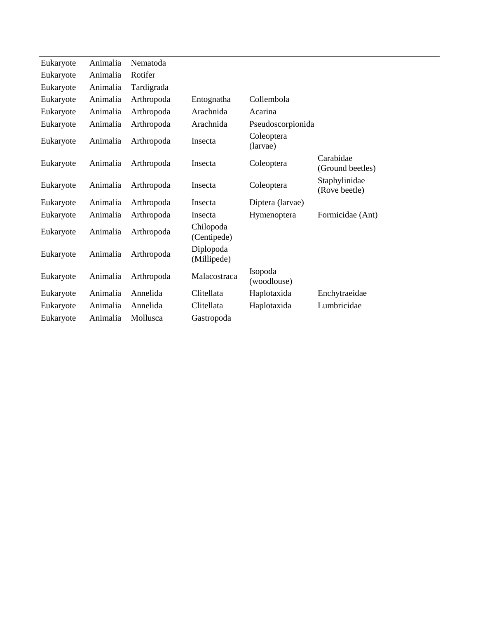| Eukaryote | Animalia | Nematoda   |                          |                        |                                |
|-----------|----------|------------|--------------------------|------------------------|--------------------------------|
| Eukaryote | Animalia | Rotifer    |                          |                        |                                |
| Eukaryote | Animalia | Tardigrada |                          |                        |                                |
| Eukaryote | Animalia | Arthropoda | Entognatha               | Collembola             |                                |
| Eukaryote | Animalia | Arthropoda | Arachnida                | Acarina                |                                |
| Eukaryote | Animalia | Arthropoda | Arachnida                | Pseudoscorpionida      |                                |
| Eukaryote | Animalia | Arthropoda | Insecta                  | Coleoptera<br>(larvae) |                                |
| Eukaryote | Animalia | Arthropoda | Insecta                  | Coleoptera             | Carabidae<br>(Ground beetles)  |
| Eukaryote | Animalia | Arthropoda | Insecta                  | Coleoptera             | Staphylinidae<br>(Rove beetle) |
| Eukaryote | Animalia | Arthropoda | Insecta                  | Diptera (larvae)       |                                |
| Eukaryote | Animalia | Arthropoda | Insecta                  | Hymenoptera            | Formicidae (Ant)               |
| Eukaryote | Animalia | Arthropoda | Chilopoda<br>(Centipede) |                        |                                |
| Eukaryote | Animalia | Arthropoda | Diplopoda<br>(Millipede) |                        |                                |
| Eukaryote | Animalia | Arthropoda | Malacostraca             | Isopoda<br>(woodlouse) |                                |
| Eukaryote | Animalia | Annelida   | Clitellata               | Haplotaxida            | Enchytraeidae                  |
| Eukaryote | Animalia | Annelida   | Clitellata               | Haplotaxida            | Lumbricidae                    |
| Eukaryote | Animalia | Mollusca   | Gastropoda               |                        |                                |
|           |          |            |                          |                        |                                |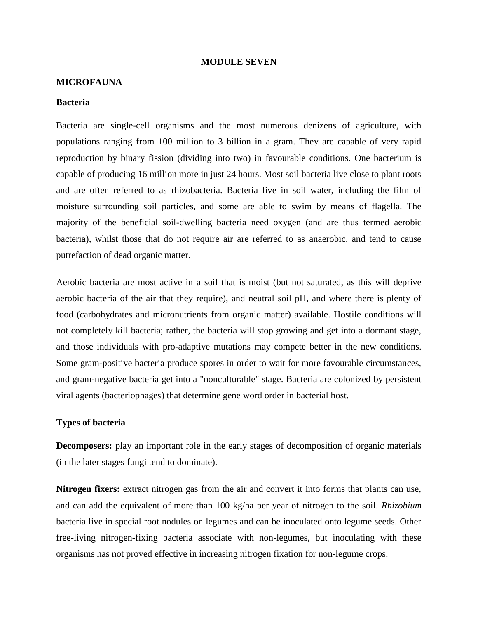### **MODULE SEVEN**

### **MICROFAUNA**

#### **Bacteria**

[Bacteria](https://en.wikipedia.org/wiki/Bacteria) are single-cell organisms and the most numerous denizens of agriculture, with populations ranging from 100 million to 3 billion in a gram. They are capable of very rapid reproduction by binary fission (dividing into two) in favourable conditions. One bacterium is capable of producing 16 million more in just 24 hours. Most soil bacteria live close to plant roots and are often referred to as rhizobacteria. Bacteria live in soil water, including the film of moisture surrounding soil particles, and some are able to swim by means of [flagella.](https://en.wikipedia.org/wiki/Flagellum) The majority of the beneficial soil-dwelling bacteria need oxygen (and are thus termed [aerobic](https://en.wikipedia.org/wiki/Aerobic_organism) bacteria), whilst those that do not require air are referred to as [anaerobic,](https://en.wikipedia.org/wiki/Anaerobic_organism) and tend to cause [putrefaction](https://en.wikipedia.org/wiki/Putrefaction) of dead organic matter.

Aerobic bacteria are most active in a [soil](https://en.wikipedia.org/wiki/Soil) that is moist (but not saturated, as this will deprive aerobic bacteria of the air that they require), and neutral [soil pH,](https://en.wikipedia.org/wiki/Soil_pH) and where there is plenty of food [\(carbohydrates](https://en.wikipedia.org/wiki/Carbohydrate) and [micronutrients](https://en.wikipedia.org/wiki/Micronutrient) from organic matter) available. Hostile conditions will not completely kill bacteria; rather, the bacteria will stop growing and get into a dormant stage, and those individuals with pro-adaptive [mutations](https://en.wikipedia.org/wiki/Mutation) may compete better in the new conditions. Some [gram-positive bacteria](https://en.wikipedia.org/wiki/Gram-positive_bacteria) produce spores in order to wait for more favourable circumstances, and [gram-negative bacteria](https://en.wikipedia.org/wiki/Gram-negative_bacteria) get into a "nonculturable" stage. Bacteria are colonized by persistent viral agents [\(bacteriophages\)](https://en.wikipedia.org/wiki/Bacteriophage) that determine gene word order in bacterial host.

### **Types of bacteria**

**Decomposers:** play an important role in the early stages of decomposition of organic materials (in the later stages fungi tend to dominate).

**Nitrogen fixers:** extract nitrogen gas from the air and convert it into forms that plants can use, and can add the equivalent of more than 100 kg/ha per year of nitrogen to the soil. *Rhizobium* bacteria live in special root nodules on legumes and can be inoculated onto legume seeds. Other free-living nitrogen-fixing bacteria associate with non-legumes, but inoculating with these organisms has not proved effective in increasing nitrogen fixation for non-legume crops.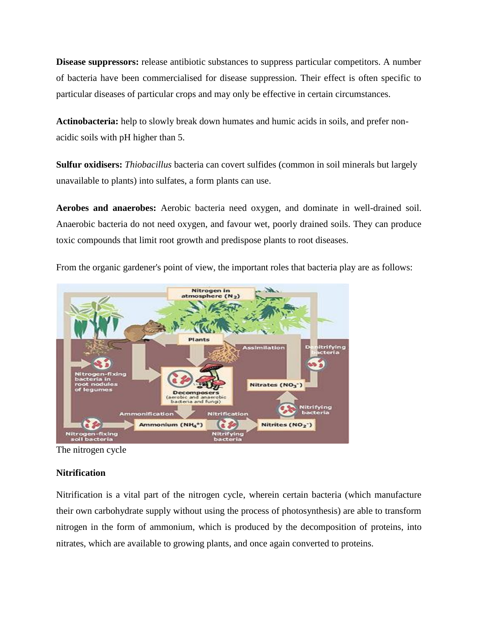**Disease suppressors:** release antibiotic substances to suppress particular competitors. A number of bacteria have been commercialised for disease suppression. Their effect is often specific to particular diseases of particular crops and may only be effective in certain circumstances.

**Actinobacteria:** help to slowly break down humates and humic acids in soils, and prefer nonacidic soils with pH higher than 5.

**Sulfur oxidisers:** *Thiobacillus* bacteria can covert sulfides (common in soil minerals but largely unavailable to plants) into sulfates, a form plants can use.

**Aerobes and anaerobes:** Aerobic bacteria need oxygen, and dominate in well-drained soil. Anaerobic bacteria do not need oxygen, and favour wet, poorly drained soils. They can produce toxic compounds that limit root growth and predispose plants to root diseases.



From the organic gardener's point of view, the important roles that bacteria play are as follows:

# **Nitrification**

[Nitrification](https://en.wikipedia.org/wiki/Nitrification) is a vital part of the [nitrogen cycle,](https://en.wikipedia.org/wiki/Nitrogen_cycle) wherein certain bacteria (which manufacture their own [carbohydrate](https://en.wikipedia.org/wiki/Carbohydrate) supply without using the process of photosynthesis) are able to transform [nitrogen](https://en.wikipedia.org/wiki/Nitrogen) in the form of [ammonium,](https://en.wikipedia.org/wiki/Ammonium) which is produced by the decomposition of [proteins,](https://en.wikipedia.org/wiki/Protein) into [nitrates,](https://en.wikipedia.org/wiki/Nitrate) which are available to growing plants, and once again converted to proteins.

The nitrogen cycle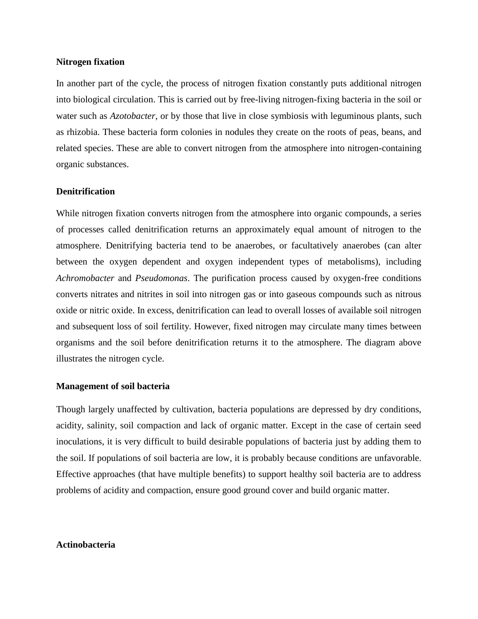### **Nitrogen fixation**

In another part of the cycle, the process of [nitrogen fixation](https://en.wikipedia.org/wiki/Nitrogen_fixation) constantly puts additional nitrogen into biological circulation. This is carried out by free-living nitrogen-fixing bacteria in the soil or water such as *[Azotobacter](https://en.wikipedia.org/wiki/Azotobacter)*, or by those that live in close symbiosis with [leguminous](https://en.wikipedia.org/wiki/Legume) plants, such as [rhizobia.](https://en.wikipedia.org/wiki/Rhizobia) These bacteria form colonies in nodules they create on the roots of [peas,](https://en.wikipedia.org/wiki/Pea) [beans,](https://en.wikipedia.org/wiki/Bean) and related species. These are able to convert nitrogen from the atmosphere into nitrogen-containing organic substances.

## **Denitrification**

While nitrogen fixation converts nitrogen from the [atmosphere](https://en.wikipedia.org/wiki/Earth%27s_atmosphere) into organic compounds, a series of processes called [denitrification](https://en.wikipedia.org/wiki/Denitrification) returns an approximately equal amount of nitrogen to the atmosphere. Denitrifying bacteria tend to be anaerobes, or facultatively anaerobes (can alter between the oxygen dependent and oxygen independent types of metabolisms), including *[Achromobacter](https://en.wikipedia.org/wiki/Achromobacter)* and *[Pseudomonas](https://en.wikipedia.org/wiki/Pseudomonas)*. The purification process caused by oxygen-free conditions converts nitrates and nitrites in soil into nitrogen gas or into gaseous compounds such as [nitrous](https://en.wikipedia.org/wiki/Nitrous_oxide)  [oxide](https://en.wikipedia.org/wiki/Nitrous_oxide) or [nitric oxide.](https://en.wikipedia.org/wiki/Nitric_oxide) In excess, denitrification can lead to overall losses of available soil nitrogen and subsequent loss of soil fertility. However, fixed nitrogen may circulate many times between organisms and the soil before denitrification returns it to the atmosphere. The diagram above illustrates the nitrogen cycle.

## **Management of soil bacteria**

Though largely unaffected by cultivation, bacteria populations are depressed by dry conditions, acidity, salinity, soil compaction and lack of organic matter. Except in the case of certain seed inoculations, it is very difficult to build desirable populations of bacteria just by adding them to the soil. If populations of soil bacteria are low, it is probably because conditions are unfavorable. Effective approaches (that have multiple benefits) to support healthy soil bacteria are to address problems of acidity and compaction, ensure good ground cover and build organic matter.

## **Actinobacteria**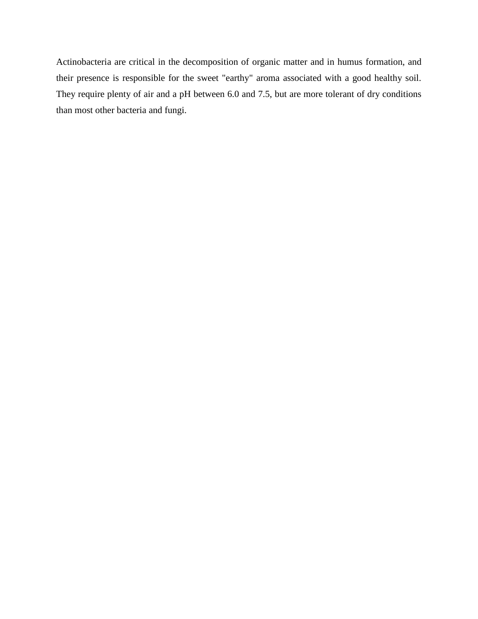[Actinobacteria](https://en.wikipedia.org/wiki/Actinobacteria) are critical in the decomposition of [organic matter](https://en.wikipedia.org/wiki/Organic_matter) and in [humus](https://en.wikipedia.org/wiki/Humus) formation, and their presence is responsible for the sweet "earthy" aroma associated with a good healthy soil. They require plenty of air and a pH between 6.0 and 7.5, but are more tolerant of dry conditions than most other bacteria and fungi.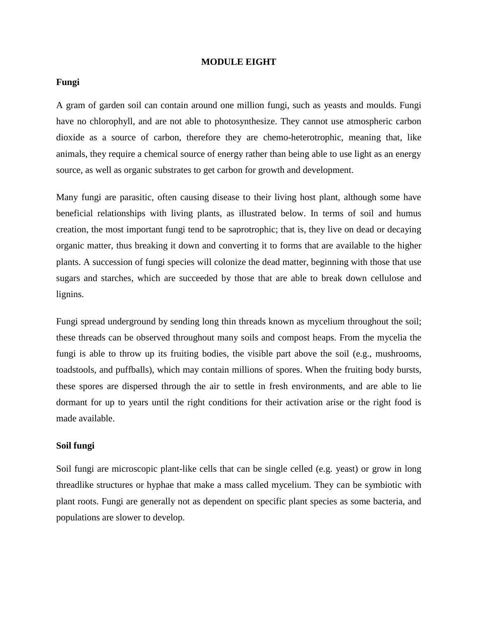### **MODULE EIGHT**

## **Fungi**

A gram of garden soil can contain around one million [fungi,](https://en.wikipedia.org/wiki/Fungus) such as [yeasts](https://en.wikipedia.org/wiki/Yeast) and [moulds.](https://en.wikipedia.org/wiki/Mould) Fungi have no [chlorophyll,](https://en.wikipedia.org/wiki/Chlorophyll) and are not able to [photosynthesize.](https://en.wikipedia.org/wiki/Photosynthesis) They cannot use atmospheric carbon dioxide as a source of carbon, therefore they are [chemo-heterotrophic,](https://en.wikipedia.org/wiki/Chemoorganoheterotrophy) meaning that, like [animals,](https://en.wikipedia.org/wiki/Animal) they require a chemical source of energy rather than being able to use light as an energy source, as well as organic substrates to get carbon for growth and development.

Many fungi are parasitic, often causing disease to their living host plant, although some have beneficial relationships with living plants, as illustrated below. In terms of soil and humus creation, the most important fungi tend to be [saprotrophic;](https://en.wikipedia.org/wiki/Saprotrophic) that is, they live on dead or decaying organic matter, thus breaking it down and converting it to forms that are available to the higher plants. A succession of fungi species will colonize the dead matter, beginning with those that use sugars and starches, which are succeeded by those that are able to break down [cellulose](https://en.wikipedia.org/wiki/Cellulose) and [lignins.](https://en.wikipedia.org/wiki/Lignin)

Fungi spread underground by sending long thin threads known as [mycelium](https://en.wikipedia.org/wiki/Mycelium) throughout the soil; these threads can be observed throughout many soils and [compost](https://en.wikipedia.org/wiki/Compost) heaps. From the mycelia the fungi is able to throw up its fruiting bodies, the visible part above the soil (e.g., [mushrooms,](https://en.wikipedia.org/wiki/Mushroom) [toadstools,](https://en.wikipedia.org/wiki/Toadstool) and [puffballs\)](https://en.wikipedia.org/wiki/Puffball), which may contain millions of [spores.](https://en.wikipedia.org/wiki/Spore) When the [fruiting body](https://en.wikipedia.org/wiki/Fruiting_body) bursts, these spores are dispersed through the air to settle in fresh environments, and are able to lie dormant for up to years until the right conditions for their activation arise or the right food is made available.

### **Soil fungi**

Soil fungi are microscopic plant-like cells that can be single celled (e.g. yeast) or grow in long threadlike structures or hyphae that make a mass called mycelium. They can be symbiotic with plant roots. Fungi are generally not as dependent on specific plant species as some bacteria, and populations are slower to develop.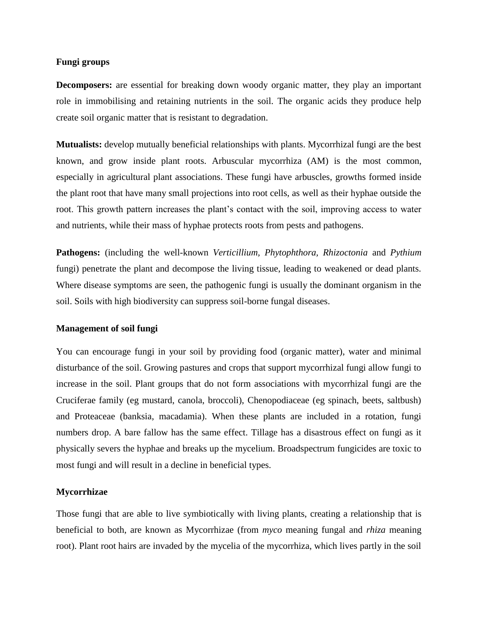## **Fungi groups**

**Decomposers:** are essential for breaking down woody organic matter, they play an important role in immobilising and retaining nutrients in the soil. The organic acids they produce help create soil organic matter that is resistant to degradation.

**Mutualists:** develop mutually beneficial relationships with plants. Mycorrhizal fungi are the best known, and grow inside plant roots. Arbuscular mycorrhiza (AM) is the most common, especially in agricultural plant associations. These fungi have arbuscles, growths formed inside the plant root that have many small projections into root cells, as well as their hyphae outside the root. This growth pattern increases the plant's contact with the soil, improving access to water and nutrients, while their mass of hyphae protects roots from pests and pathogens.

**Pathogens:** (including the well-known *Verticillium, Phytophthora, Rhizoctonia* and *Pythium* fungi) penetrate the plant and decompose the living tissue, leading to weakened or dead plants. Where disease symptoms are seen, the pathogenic fungi is usually the dominant organism in the soil. Soils with high biodiversity can suppress soil-borne fungal diseases.

## **Management of soil fungi**

You can encourage fungi in your soil by providing food (organic matter), water and minimal disturbance of the soil. Growing pastures and crops that support mycorrhizal fungi allow fungi to increase in the soil. Plant groups that do not form associations with mycorrhizal fungi are the Cruciferae family (eg mustard, canola, broccoli), Chenopodiaceae (eg spinach, beets, saltbush) and Proteaceae (banksia, macadamia). When these plants are included in a rotation, fungi numbers drop. A bare fallow has the same effect. Tillage has a disastrous effect on fungi as it physically severs the hyphae and breaks up the mycelium. Broadspectrum fungicides are toxic to most fungi and will result in a decline in beneficial types.

## **Mycorrhizae**

Those fungi that are able to live symbiotically with living plants, creating a relationship that is beneficial to both, are known as [Mycorrhizae](https://en.wikipedia.org/wiki/Mycorrhiza) (from *myco* meaning fungal and *rhiza* meaning root). Plant root hairs are invaded by the mycelia of the mycorrhiza, which lives partly in the soil